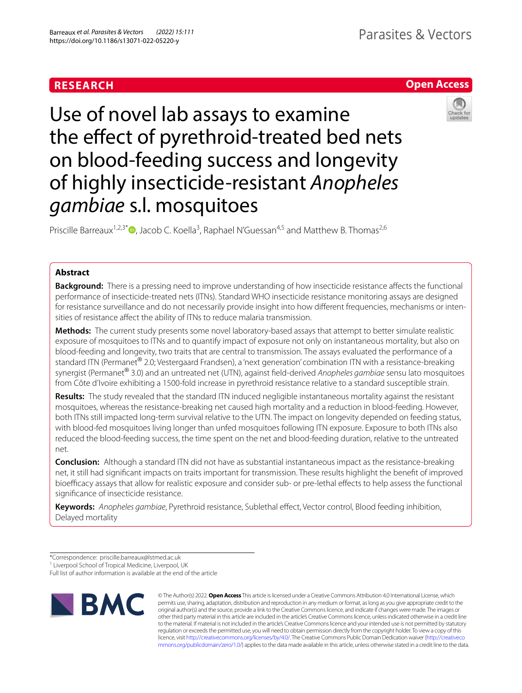## **RESEARCH**

# Parasites & Vectors

## **Open Access**



Use of novel lab assays to examine the effect of pyrethroid-treated bed nets on blood-feeding success and longevity of highly insecticide-resistant *Anopheles gambiae* s.l. mosquitoes

Priscille Barreaux<sup>1,2,3\*</sup><sup>®</sup>[,](http://orcid.org/0000-0002-4839-6441) Jacob C. Koella<sup>3</sup>, Raphael N'Guessan<sup>4,5</sup> and Matthew B. Thomas<sup>2,6</sup>

## **Abstract**

**Background:** There is a pressing need to improve understanding of how insecticide resistance afects the functional performance of insecticide-treated nets (ITNs). Standard WHO insecticide resistance monitoring assays are designed for resistance surveillance and do not necessarily provide insight into how diferent frequencies, mechanisms or intensities of resistance afect the ability of ITNs to reduce malaria transmission.

**Methods:** The current study presents some novel laboratory-based assays that attempt to better simulate realistic exposure of mosquitoes to ITNs and to quantify impact of exposure not only on instantaneous mortality, but also on blood-feeding and longevity, two traits that are central to transmission. The assays evaluated the performance of a standard ITN (Permanet<sup>®</sup> 2.0; Vestergaard Frandsen), a 'next generation' combination ITN with a resistance-breaking synergist (Permanet® 3.0) and an untreated net (UTN), against feld-derived *Anopheles gambiae* sensu lato mosquitoes from Côte d'Ivoire exhibiting a 1500-fold increase in pyrethroid resistance relative to a standard susceptible strain.

**Results:** The study revealed that the standard ITN induced negligible instantaneous mortality against the resistant mosquitoes, whereas the resistance-breaking net caused high mortality and a reduction in blood-feeding. However, both ITNs still impacted long-term survival relative to the UTN. The impact on longevity depended on feeding status, with blood-fed mosquitoes living longer than unfed mosquitoes following ITN exposure. Exposure to both ITNs also reduced the blood-feeding success, the time spent on the net and blood-feeding duration, relative to the untreated net.

**Conclusion:** Although a standard ITN did not have as substantial instantaneous impact as the resistance-breaking net, it still had signifcant impacts on traits important for transmission. These results highlight the beneft of improved bioefficacy assays that allow for realistic exposure and consider sub- or pre-lethal effects to help assess the functional signifcance of insecticide resistance.

**Keywords:** *Anopheles gambiae*, Pyrethroid resistance, Sublethal efect, Vector control, Blood feeding inhibition, Delayed mortality

Full list of author information is available at the end of the article



© The Author(s) 2022. **Open Access** This article is licensed under a Creative Commons Attribution 4.0 International License, which permits use, sharing, adaptation, distribution and reproduction in any medium or format, as long as you give appropriate credit to the original author(s) and the source, provide a link to the Creative Commons licence, and indicate if changes were made. The images or other third party material in this article are included in the article's Creative Commons licence, unless indicated otherwise in a credit line to the material. If material is not included in the article's Creative Commons licence and your intended use is not permitted by statutory regulation or exceeds the permitted use, you will need to obtain permission directly from the copyright holder. To view a copy of this licence, visit [http://creativecommons.org/licenses/by/4.0/.](http://creativecommons.org/licenses/by/4.0/) The Creative Commons Public Domain Dedication waiver ([http://creativeco](http://creativecommons.org/publicdomain/zero/1.0/) [mmons.org/publicdomain/zero/1.0/](http://creativecommons.org/publicdomain/zero/1.0/)) applies to the data made available in this article, unless otherwise stated in a credit line to the data.

<sup>\*</sup>Correspondence: priscille.barreaux@lstmed.ac.uk

<sup>&</sup>lt;sup>1</sup> Liverpool School of Tropical Medicine, Liverpool, UK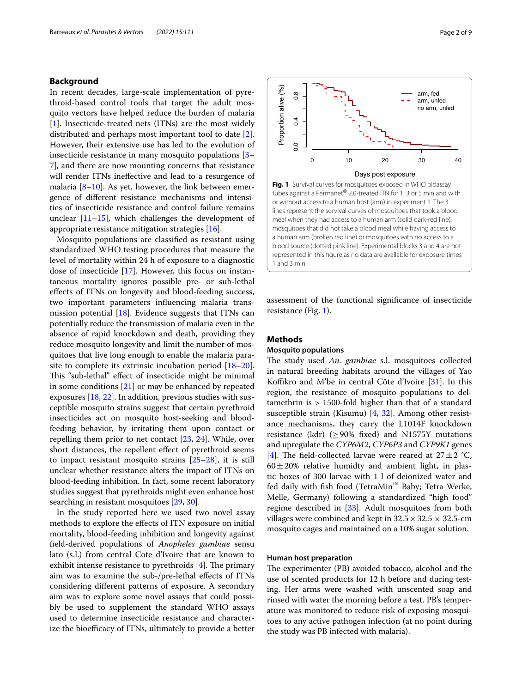## **Background**

In recent decades, large-scale implementation of pyrethroid-based control tools that target the adult mosquito vectors have helped reduce the burden of malaria [[1\]](#page-7-0). Insecticide-treated nets (ITNs) are the most widely distributed and perhaps most important tool to date [\[2](#page-7-1)]. However, their extensive use has led to the evolution of insecticide resistance in many mosquito populations [[3–](#page-7-2) [7\]](#page-7-3), and there are now mounting concerns that resistance will render ITNs inefective and lead to a resurgence of malaria [[8–](#page-7-4)[10](#page-7-5)]. As yet, however, the link between emergence of diferent resistance mechanisms and intensities of insecticide resistance and control failure remains unclear  $[11–15]$  $[11–15]$ , which challenges the development of appropriate resistance mitigation strategies [\[16](#page-7-8)].

Mosquito populations are classifed as resistant using standardized WHO testing procedures that measure the level of mortality within 24 h of exposure to a diagnostic dose of insecticide [[17\]](#page-7-9). However, this focus on instantaneous mortality ignores possible pre- or sub-lethal efects of ITNs on longevity and blood-feeding success, two important parameters infuencing malaria transmission potential [\[18](#page-7-10)]. Evidence suggests that ITNs can potentially reduce the transmission of malaria even in the absence of rapid knockdown and death, providing they reduce mosquito longevity and limit the number of mosquitoes that live long enough to enable the malaria parasite to complete its extrinsic incubation period [[18](#page-7-10)[–20](#page-7-11)]. This "sub-lethal" effect of insecticide might be minimal in some conditions [[21\]](#page-7-12) or may be enhanced by repeated exposures [\[18,](#page-7-10) [22](#page-7-13)]. In addition, previous studies with susceptible mosquito strains suggest that certain pyrethroid insecticides act on mosquito host-seeking and bloodfeeding behavior, by irritating them upon contact or repelling them prior to net contact [[23](#page-7-14), [24\]](#page-7-15). While, over short distances, the repellent efect of pyrethroid seems to impact resistant mosquito strains  $[25-28]$  $[25-28]$ , it is still unclear whether resistance alters the impact of ITNs on blood-feeding inhibition. In fact, some recent laboratory studies suggest that pyrethroids might even enhance host searching in resistant mosquitoes [\[29](#page-8-1), [30\]](#page-8-2).

In the study reported here we used two novel assay methods to explore the efects of ITN exposure on initial mortality, blood-feeding inhibition and longevity against feld-derived populations of *Anopheles gambiae* sensu lato (s.l.) from central Cote d'Ivoire that are known to exhibit intense resistance to pyrethroids  $[4]$  $[4]$ . The primary aim was to examine the sub-/pre-lethal efects of ITNs considering diferent patterns of exposure. A secondary aim was to explore some novel assays that could possibly be used to supplement the standard WHO assays used to determine insecticide resistance and characterize the bioefficacy of ITNs, ultimately to provide a better

<span id="page-1-0"></span>

assessment of the functional signifcance of insecticide resistance (Fig. [1\)](#page-1-0).

## <span id="page-1-1"></span>**Methods**

## **Mosquito populations**

The study used *An. gambiae* s.l. mosquitoes collected in natural breeding habitats around the villages of Yao Koffikro and M'be in central Côte d'Ivoire [[31\]](#page-8-3). In this region, the resistance of mosquito populations to deltamethrin is > 1500-fold higher than that of a standard susceptible strain (Kisumu) [\[4,](#page-7-17) [32](#page-8-4)]. Among other resistance mechanisms, they carry the L1014F knockdown resistance (kdr) ( $\geq$  90% fixed) and N1575Y mutations and upregulate the *CYP6M2*, *CYP6P3* and *CYP9K1* genes [[4\]](#page-7-17). The field-collected larvae were reared at  $27 \pm 2$  °C,  $60 \pm 20$ % relative humidty and ambient light, in plastic boxes of 300 larvae with 1 l of deionized water and fed daily with fsh food (TetraMin™ Baby; Tetra Werke, Melle, Germany) following a standardized "high food" regime described in [[33\]](#page-8-5). Adult mosquitoes from both villages were combined and kept in  $32.5 \times 32.5 \times 32.5$ -cm mosquito cages and maintained on a 10% sugar solution.

## **Human host preparation**

The experimenter (PB) avoided tobacco, alcohol and the use of scented products for 12 h before and during testing. Her arms were washed with unscented soap and rinsed with water the morning before a test. PB's temperature was monitored to reduce risk of exposing mosquitoes to any active pathogen infection (at no point during the study was PB infected with malaria).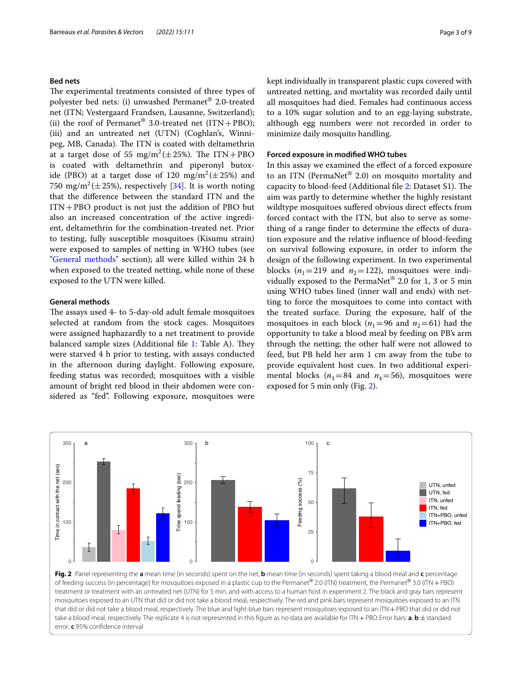## **Bed nets**

The experimental treatments consisted of three types of polyester bed nets: (i) unwashed Permanet® 2.0-treated net (ITN; Vestergaard Frandsen, Lausanne, Switzerland); (ii) the roof of Permanet<sup>®</sup> 3.0-treated net  $(ITN+PBO)$ ; (iii) and an untreated net (UTN) (Coghlan's, Winnipeg, MB, Canada). The ITN is coated with deltamethrin at a target dose of 55  $mg/m^2(\pm 25\%)$ . The ITN+PBO is coated with deltamethrin and piperonyl butoxide (PBO) at a target dose of 120  $mg/m^2 (\pm 25\%)$  and 750  $mg/m^2(\pm 25\%)$ , respectively [\[34](#page-8-6)]. It is worth noting that the diference between the standard ITN and the  $ITN+PBO$  product is not just the addition of PBO but also an increased concentration of the active ingredient, deltamethrin for the combination-treated net. Prior to testing, fully susceptible mosquitoes (Kisumu strain) were exposed to samples of netting in WHO tubes (see "[General methods"](#page-2-0) section); all were killed within 24 h when exposed to the treated netting, while none of these exposed to the UTN were killed.

## <span id="page-2-0"></span>**General methods**

The assays used 4- to 5-day-old adult female mosquitoes selected at random from the stock cages. Mosquitoes were assigned haphazardly to a net treatment to provide balanced sample sizes (Additional file  $1$ : Table A). They were starved 4 h prior to testing, with assays conducted in the afternoon during daylight. Following exposure, feeding status was recorded; mosquitoes with a visible amount of bright red blood in their abdomen were considered as "fed". Following exposure, mosquitoes were kept individually in transparent plastic cups covered with untreated netting, and mortality was recorded daily until all mosquitoes had died. Females had continuous access to a 10% sugar solution and to an egg-laying substrate, although egg numbers were not recorded in order to minimize daily mosquito handling.

## **Forced exposure in modifed WHO tubes**

In this assay we examined the efect of a forced exposure to an ITN (PermaNet® 2.0) on mosquito mortality and capacity to blood-feed (Additional file [2](#page-7-19): Dataset S1). The aim was partly to determine whether the highly resistant wildtype mosquitoes sufered obvious direct efects from forced contact with the ITN, but also to serve as something of a range finder to determine the effects of duration exposure and the relative infuence of blood-feeding on survival following exposure, in order to inform the design of the following experiment. In two experimental blocks ( $n_1$ =219 and  $n_2$ =122), mosquitoes were individually exposed to the PermaNet® 2.0 for 1, 3 or 5 min using WHO tubes lined (inner wall and ends) with netting to force the mosquitoes to come into contact with the treated surface. During the exposure, half of the mosquitoes in each block ( $n_1$ =96 and  $n_2$ =61) had the opportunity to take a blood meal by feeding on PB's arm through the netting; the other half were not allowed to feed, but PB held her arm 1 cm away from the tube to provide equivalent host cues. In two additional experimental blocks ( $n_3$ =84 and  $n_4$ =56), mosquitoes were exposed for 5 min only (Fig. [2\)](#page-2-1).

<span id="page-2-1"></span>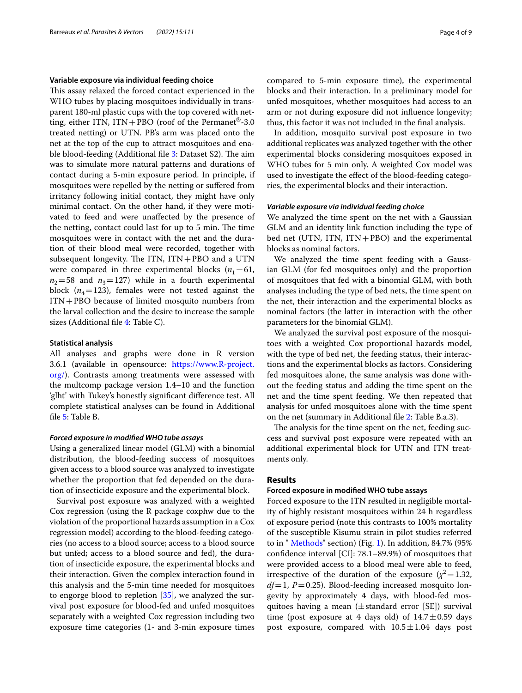### **Variable exposure via individual feeding choice**

This assay relaxed the forced contact experienced in the WHO tubes by placing mosquitoes individually in transparent 180-ml plastic cups with the top covered with netting, either ITN, ITN+PBO (roof of the Permanet<sup>®</sup>-3.0 treated netting) or UTN. PB's arm was placed onto the net at the top of the cup to attract mosquitoes and ena-ble blood-feeding (Additional file [3:](#page-7-20) Dataset S2). The aim was to simulate more natural patterns and durations of contact during a 5-min exposure period. In principle, if mosquitoes were repelled by the netting or sufered from irritancy following initial contact, they might have only minimal contact. On the other hand, if they were motivated to feed and were unafected by the presence of the netting, contact could last for up to 5 min. The time mosquitoes were in contact with the net and the duration of their blood meal were recorded, together with subsequent longevity. The ITN,  $ITN+PBO$  and a UTN were compared in three experimental blocks  $(n_1=61,$  $n_2$ =58 and  $n_3$ =127) while in a fourth experimental block  $(n_4=123)$ , females were not tested against the ITN+PBO because of limited mosquito numbers from the larval collection and the desire to increase the sample sizes (Additional fle [4:](#page-7-21) Table C).

## **Statistical analysis**

All analyses and graphs were done in R version 3.6.1 (available in opensource: [https://www.R-project.](https://www.R-project.org/) [org/\)](https://www.R-project.org/). Contrasts among treatments were assessed with the multcomp package version 1.4–10 and the function 'glht' with Tukey's honestly signifcant diference test. All complete statistical analyses can be found in Additional fle [5](#page-7-22): Table B.

### *Forced exposure in modifed WHO tube assays*

Using a generalized linear model (GLM) with a binomial distribution, the blood-feeding success of mosquitoes given access to a blood source was analyzed to investigate whether the proportion that fed depended on the duration of insecticide exposure and the experimental block.

Survival post exposure was analyzed with a weighted Cox regression (using the R package coxphw due to the violation of the proportional hazards assumption in a Cox regression model) according to the blood-feeding categories (no access to a blood source; access to a blood source but unfed; access to a blood source and fed), the duration of insecticide exposure, the experimental blocks and their interaction. Given the complex interaction found in this analysis and the 5-min time needed for mosquitoes to engorge blood to repletion [[35\]](#page-8-7), we analyzed the survival post exposure for blood-fed and unfed mosquitoes separately with a weighted Cox regression including two exposure time categories (1- and 3-min exposure times compared to 5-min exposure time), the experimental blocks and their interaction. In a preliminary model for unfed mosquitoes, whether mosquitoes had access to an arm or not during exposure did not infuence longevity; thus, this factor it was not included in the fnal analysis.

In addition, mosquito survival post exposure in two additional replicates was analyzed together with the other experimental blocks considering mosquitoes exposed in WHO tubes for 5 min only. A weighted Cox model was used to investigate the efect of the blood-feeding categories, the experimental blocks and their interaction.

#### *Variable exposure via individual feeding choice*

We analyzed the time spent on the net with a Gaussian GLM and an identity link function including the type of bed net (UTN, ITN, ITN+PBO) and the experimental blocks as nominal factors.

We analyzed the time spent feeding with a Gaussian GLM (for fed mosquitoes only) and the proportion of mosquitoes that fed with a binomial GLM, with both analyses including the type of bed nets, the time spent on the net, their interaction and the experimental blocks as nominal factors (the latter in interaction with the other parameters for the binomial GLM).

We analyzed the survival post exposure of the mosquitoes with a weighted Cox proportional hazards model, with the type of bed net, the feeding status, their interactions and the experimental blocks as factors. Considering fed mosquitoes alone, the same analysis was done without the feeding status and adding the time spent on the net and the time spent feeding. We then repeated that analysis for unfed mosquitoes alone with the time spent on the net (summary in Additional fle [2](#page-7-19): Table B.a.3).

The analysis for the time spent on the net, feeding success and survival post exposure were repeated with an additional experimental block for UTN and ITN treatments only.

## **Results**

#### **Forced exposure in modifed WHO tube assays**

Forced exposure to the ITN resulted in negligible mortality of highly resistant mosquitoes within 24 h regardless of exposure period (note this contrasts to 100% mortality of the susceptible Kisumu strain in pilot studies referred to in " [Methods](#page-1-1)" section) (Fig. [1](#page-1-0)). In addition, 84.7% (95% confdence interval [CI]: 78.1–89.9%) of mosquitoes that were provided access to a blood meal were able to feed, irrespective of the duration of the exposure  $(\chi^2=1.32,$ *df*=1, *P*=0.25). Blood-feeding increased mosquito longevity by approximately 4 days, with blood-fed mosquitoes having a mean  $(\pm$  standard error [SE]) survival time (post exposure at 4 days old) of  $14.7 \pm 0.59$  days post exposure, compared with  $10.5 \pm 1.04$  days post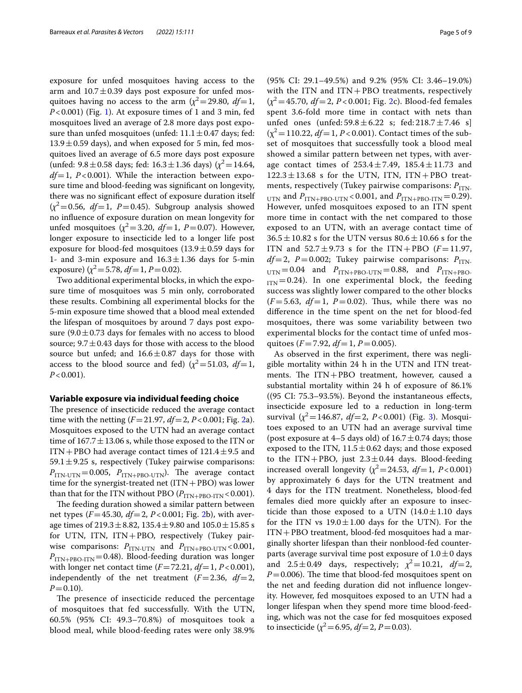exposure for unfed mosquitoes having access to the arm and  $10.7 \pm 0.39$  days post exposure for unfed mosquitoes having no access to the arm  $(\chi^2 = 29.80, df = 1,$ *P*<0.001) (Fig. [1](#page-1-0)). At exposure times of 1 and 3 min, fed mosquitoes lived an average of 2.8 more days post exposure than unfed mosquitoes (unfed:  $11.1 \pm 0.47$  days; fed:  $13.9 \pm 0.59$  days), and when exposed for 5 min, fed mosquitoes lived an average of 6.5 more days post exposure (unfed:  $9.8 \pm 0.58$  days; fed:  $16.3 \pm 1.36$  days) ( $\chi^2$  = 14.64, *df*=1, *P*<0.001). While the interaction between exposure time and blood-feeding was signifcant on longevity, there was no signifcant efect of exposure duration itself  $(x^2=0.56, df=1, P=0.45)$ . Subgroup analysis showed no infuence of exposure duration on mean longevity for unfed mosquitoes  $(\chi^2 = 3.20, df = 1, P = 0.07)$ . However, longer exposure to insecticide led to a longer life post exposure for blood-fed mosquitoes  $(13.9 \pm 0.59)$  days for 1- and 3-min exposure and  $16.3 \pm 1.36$  days for 5-min exposure)  $(\chi^2 = 5.78, df = 1, P = 0.02)$ .

Two additional experimental blocks, in which the exposure time of mosquitoes was 5 min only, corroborated these results. Combining all experimental blocks for the 5-min exposure time showed that a blood meal extended the lifespan of mosquitoes by around 7 days post exposure  $(9.0 \pm 0.73$  days for females with no access to blood source;  $9.7 \pm 0.43$  days for those with access to the blood source but unfed; and  $16.6 \pm 0.87$  days for those with access to the blood source and fed)  $(\chi^2 = 51.03, df = 1,$  $P < 0.001$ ).

#### **Variable exposure via individual feeding choice**

The presence of insecticide reduced the average contact time with the netting (*F*=21.97, *df*=2, *P*<0.001; Fig. [2a](#page-2-1)). Mosquitoes exposed to the UTN had an average contact time of  $167.7 \pm 13.06$  s, while those exposed to the ITN or ITN + PBO had average contact times of  $121.4 \pm 9.5$  and 59.1 $\pm$ 9.25 s, respectively (Tukey pairwise comparisons:  $P_{\text{ITN-UTN}}=0.005$ ,  $P_{\text{ITN+PBO-UTN}}$ ). The average contact time for the synergist-treated net  $(ITN+PBO)$  was lower than that for the ITN without PBO ( $P_{\rm ITN+PBO-ITN}$  < 0.001).

The feeding duration showed a similar pattern between net types (*F*=45.30, *df*=2, *P*<0.001; Fig. [2](#page-2-1)b), with average times of  $219.3 \pm 8.82$ ,  $135.4 \pm 9.80$  and  $105.0 \pm 15.85$  s for UTN, ITN, ITN+PBO, respectively (Tukey pairwise comparisons:  $P_{ITN-UTN}$  and  $P_{ITN+PBO-UTN}$  < 0.001,  $P_{\text{ITN+PBO-ITN}}$ =0.48). Blood-feeding duration was longer with longer net contact time (*F*=72.21, *df*=1, *P*<0.001), independently of the net treatment (*F*=2.36, *df*=2,  $P=0.10$ ).

The presence of insecticide reduced the percentage of mosquitoes that fed successfully. With the UTN, 60.5% (95% CI: 49.3–70.8%) of mosquitoes took a blood meal, while blood-feeding rates were only 38.9% (95% CI: 29.1–49.5%) and 9.2% (95% CI: 3.46–19.0%) with the ITN and  $ITN+PBO$  treatments, respectively  $(x^2 = 45.70, df = 2, P < 0.001$ ; Fig. [2c](#page-2-1)). Blood-fed females spent 3.6-fold more time in contact with nets than unfed ones (unfed:  $59.8 \pm 6.22$  s; fed:  $218.7 \pm 7.46$  s]  $(x^2 = 110.22, df = 1, P < 0.001)$ . Contact times of the subset of mosquitoes that successfully took a blood meal showed a similar pattern between net types, with average contact times of  $253.4 \pm 7.49$ ,  $185.4 \pm 11.73$  and  $122.3 \pm 13.68$  s for the UTN, ITN, ITN + PBO treatments, respectively (Tukey pairwise comparisons:  $P_{ITN}$  $_{\text{UTN}}$  and  $P_{\text{ITN+PBO-UTN}}$  < 0.001, and  $P_{\text{ITN+PBO-ITN}}$  = 0.29). However, unfed mosquitoes exposed to an ITN spent more time in contact with the net compared to those exposed to an UTN, with an average contact time of  $36.5 \pm 10.82$  s for the UTN versus  $80.6 \pm 10.66$  s for the ITN and  $52.7 \pm 9.73$  s for the ITN+PBO ( $F = 11.97$ ,  $df=2$ ,  $P=0.002$ ; Tukey pairwise comparisons:  $P_{ITN-}$  $U_{\text{UN}}=0.04$  and  $P_{\text{ITN+PBO-UTN}}=0.88$ , and  $P_{\text{ITN+PBO-}}$  $I_{\text{ITN}}=0.24$ ). In one experimental block, the feeding success was slightly lower compared to the other blocks  $(F = 5.63, df = 1, P = 0.02)$ . Thus, while there was no diference in the time spent on the net for blood-fed mosquitoes, there was some variability between two experimental blocks for the contact time of unfed mosquitoes ( $F = 7.92$ ,  $df = 1$ ,  $P = 0.005$ ).

As observed in the frst experiment, there was negligible mortality within 24 h in the UTN and ITN treatments. The  $ITN+PBO$  treatment, however, caused a substantial mortality within 24 h of exposure of 86.1% ((95 CI: 75.3–93.5%). Beyond the instantaneous efects, insecticide exposure led to a reduction in long-term survival  $(\chi^2 = 146.87, df = 2, P < 0.001)$  (Fig. [3](#page-5-0)). Mosquitoes exposed to an UTN had an average survival time (post exposure at 4–5 days old) of  $16.7 \pm 0.74$  days; those exposed to the ITN,  $11.5 \pm 0.62$  days; and those exposed to the ITN+PBO, just  $2.3 \pm 0.44$  days. Blood-feeding increased overall longevity  $(\chi^2 = 24.53, df = 1, P < 0.001)$ by approximately 6 days for the UTN treatment and 4 days for the ITN treatment. Nonetheless, blood-fed females died more quickly after an exposure to insecticide than those exposed to a UTN  $(14.0 \pm 1.10)$  days for the ITN vs  $19.0 \pm 1.00$  days for the UTN). For the ITN+PBO treatment, blood-fed mosquitoes had a marginally shorter lifespan than their nonblood-fed counterparts (average survival time post exposure of  $1.0 \pm 0$  days and  $2.5 \pm 0.49$  days, respectively;  $\chi^2 = 10.21$ ,  $df = 2$ ,  $P=0.006$ ). The time that blood-fed mosquitoes spent on the net and feeding duration did not infuence longevity. However, fed mosquitoes exposed to an UTN had a longer lifespan when they spend more time blood-feeding, which was not the case for fed mosquitoes exposed to insecticide ( $\chi^2$  = 6.95, *df* = 2, *P* = 0.03).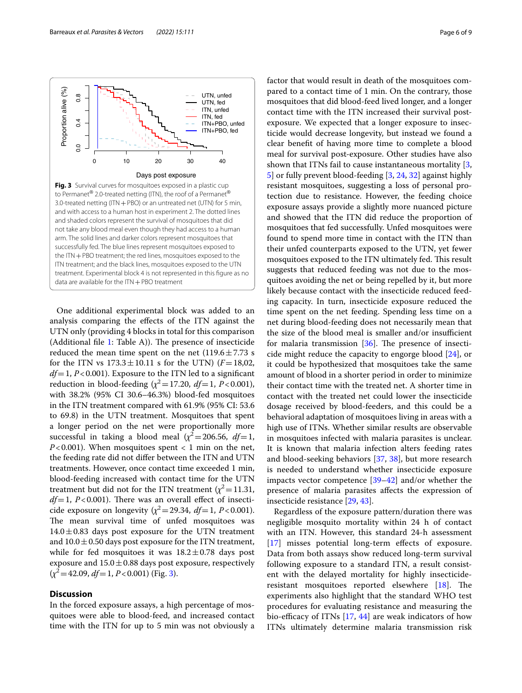<span id="page-5-0"></span>

One additional experimental block was added to an analysis comparing the efects of the ITN against the UTN only (providing 4 blocks in total for this comparison (Additional file  $1$ : Table A)). The presence of insecticide reduced the mean time spent on the net  $(119.6 \pm 7.73 \text{ s})$ for the ITN vs  $173.3 \pm 10.11$  s for the UTN) ( $F = 18,02$ ,  $df=1, P<0.001$ ). Exposure to the ITN led to a significant reduction in blood-feeding  $(\chi^2 = 17.20, df = 1, P < 0.001)$ , with 38.2% (95% CI 30.6–46.3%) blood-fed mosquitoes in the ITN treatment compared with 61.9% (95% CI: 53.6 to 69.8) in the UTN treatment. Mosquitoes that spent a longer period on the net were proportionally more successful in taking a blood meal  $(\chi^2=206.56, df=1,$ *P*<0.001). When mosquitoes spent < 1 min on the net, the feeding rate did not difer between the ITN and UTN treatments. However, once contact time exceeded 1 min, blood-feeding increased with contact time for the UTN treatment but did not for the ITN treatment  $(\chi^2=11.31,$  $df=1$ ,  $P<0.001$ ). There was an overall effect of insecticide exposure on longevity  $(\chi^2 = 29.34, df = 1, P < 0.001)$ . The mean survival time of unfed mosquitoes was  $14.0 \pm 0.83$  days post exposure for the UTN treatment and  $10.0 \pm 0.50$  days post exposure for the ITN treatment, while for fed mosquitoes it was  $18.2 \pm 0.78$  days post exposure and  $15.0 \pm 0.88$  days post exposure, respectively  $(\chi^2 = 42.09, df = 1, P < 0.001)$  (Fig. [3\)](#page-5-0).

## **Discussion**

In the forced exposure assays, a high percentage of mosquitoes were able to blood-feed, and increased contact time with the ITN for up to 5 min was not obviously a factor that would result in death of the mosquitoes compared to a contact time of 1 min. On the contrary, those mosquitoes that did blood-feed lived longer, and a longer contact time with the ITN increased their survival postexposure. We expected that a longer exposure to insecticide would decrease longevity, but instead we found a clear beneft of having more time to complete a blood meal for survival post-exposure. Other studies have also shown that ITNs fail to cause instantaneous mortality [\[3](#page-7-2), [5\]](#page-7-23) or fully prevent blood-feeding [\[3,](#page-7-2) [24](#page-7-15), [32\]](#page-8-4) against highly resistant mosquitoes, suggesting a loss of personal protection due to resistance. However, the feeding choice exposure assays provide a slightly more nuanced picture and showed that the ITN did reduce the proportion of mosquitoes that fed successfully. Unfed mosquitoes were found to spend more time in contact with the ITN than their unfed counterparts exposed to the UTN, yet fewer mosquitoes exposed to the ITN ultimately fed. This result suggests that reduced feeding was not due to the mosquitoes avoiding the net or being repelled by it, but more likely because contact with the insecticide reduced feeding capacity. In turn, insecticide exposure reduced the time spent on the net feeding. Spending less time on a net during blood-feeding does not necessarily mean that the size of the blood meal is smaller and/or insufficient for malaria transmission  $[36]$  $[36]$ . The presence of insecticide might reduce the capacity to engorge blood [\[24](#page-7-15)], or it could be hypothesized that mosquitoes take the same amount of blood in a shorter period in order to minimize their contact time with the treated net. A shorter time in contact with the treated net could lower the insecticide dosage received by blood-feeders, and this could be a behavioral adaptation of mosquitoes living in areas with a high use of ITNs. Whether similar results are observable in mosquitoes infected with malaria parasites is unclear. It is known that malaria infection alters feeding rates and blood-seeking behaviors [\[37](#page-8-9), [38](#page-8-10)], but more research is needed to understand whether insecticide exposure impacts vector competence [\[39](#page-8-11)[–42\]](#page-8-12) and/or whether the presence of malaria parasites afects the expression of insecticide resistance [[29,](#page-8-1) [43](#page-8-13)].

Regardless of the exposure pattern/duration there was negligible mosquito mortality within 24 h of contact with an ITN. However, this standard 24-h assessment [[17\]](#page-7-9) misses potential long-term effects of exposure. Data from both assays show reduced long-term survival following exposure to a standard ITN, a result consistent with the delayed mortality for highly insecticide-resistant mosquitoes reported elsewhere [[18\]](#page-7-10). The experiments also highlight that the standard WHO test procedures for evaluating resistance and measuring the bio-efficacy of ITNs  $[17, 44]$  $[17, 44]$  $[17, 44]$  $[17, 44]$  are weak indicators of how ITNs ultimately determine malaria transmission risk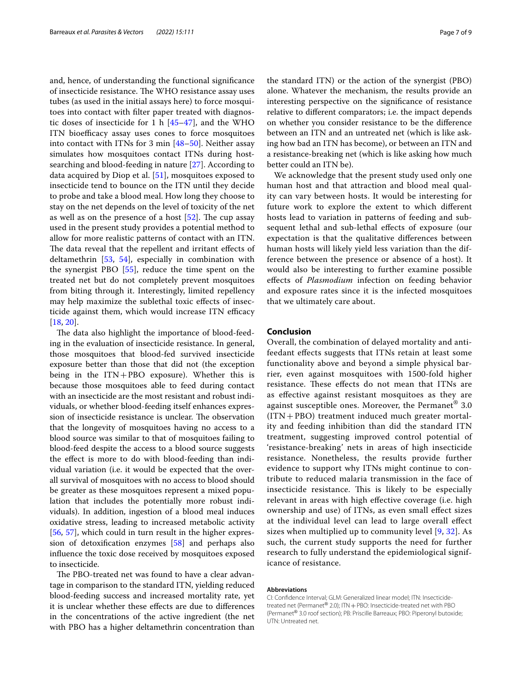and, hence, of understanding the functional signifcance of insecticide resistance. The WHO resistance assay uses tubes (as used in the initial assays here) to force mosquitoes into contact with flter paper treated with diagnostic doses of insecticide for 1 h  $[45-47]$  $[45-47]$  $[45-47]$ , and the WHO ITN bioefficacy assay uses cones to force mosquitoes into contact with ITNs for 3 min [\[48](#page-8-17)[–50](#page-8-18)]. Neither assay simulates how mosquitoes contact ITNs during hostsearching and blood-feeding in nature [\[27](#page-8-19)]. According to data acquired by Diop et al. [\[51](#page-8-20)], mosquitoes exposed to insecticide tend to bounce on the ITN until they decide to probe and take a blood meal. How long they choose to stay on the net depends on the level of toxicity of the net as well as on the presence of a host  $[52]$  $[52]$ . The cup assay used in the present study provides a potential method to allow for more realistic patterns of contact with an ITN. The data reveal that the repellent and irritant effects of deltamethrin [[53,](#page-8-22) [54\]](#page-8-23), especially in combination with the synergist PBO [[55\]](#page-8-24), reduce the time spent on the treated net but do not completely prevent mosquitoes from biting through it. Interestingly, limited repellency may help maximize the sublethal toxic efects of insecticide against them, which would increase ITN efficacy [[18,](#page-7-10) [20](#page-7-11)].

The data also highlight the importance of blood-feeding in the evaluation of insecticide resistance. In general, those mosquitoes that blood-fed survived insecticide exposure better than those that did not (the exception being in the ITN+PBO exposure). Whether this is because those mosquitoes able to feed during contact with an insecticide are the most resistant and robust individuals, or whether blood-feeding itself enhances expression of insecticide resistance is unclear. The observation that the longevity of mosquitoes having no access to a blood source was similar to that of mosquitoes failing to blood-feed despite the access to a blood source suggests the efect is more to do with blood-feeding than individual variation (i.e. it would be expected that the overall survival of mosquitoes with no access to blood should be greater as these mosquitoes represent a mixed population that includes the potentially more robust individuals). In addition, ingestion of a blood meal induces oxidative stress, leading to increased metabolic activity [[56,](#page-8-25) [57\]](#page-8-26), which could in turn result in the higher expression of detoxifcation enzymes [[58\]](#page-8-27) and perhaps also infuence the toxic dose received by mosquitoes exposed to insecticide.

The PBO-treated net was found to have a clear advantage in comparison to the standard ITN, yielding reduced blood-feeding success and increased mortality rate, yet it is unclear whether these effects are due to differences in the concentrations of the active ingredient (the net with PBO has a higher deltamethrin concentration than the standard ITN) or the action of the synergist (PBO) alone. Whatever the mechanism, the results provide an interesting perspective on the signifcance of resistance relative to diferent comparators; i.e. the impact depends on whether you consider resistance to be the diference between an ITN and an untreated net (which is like asking how bad an ITN has become), or between an ITN and a resistance-breaking net (which is like asking how much better could an ITN be).

We acknowledge that the present study used only one human host and that attraction and blood meal quality can vary between hosts. It would be interesting for future work to explore the extent to which diferent hosts lead to variation in patterns of feeding and subsequent lethal and sub-lethal efects of exposure (our expectation is that the qualitative diferences between human hosts will likely yield less variation than the difference between the presence or absence of a host). It would also be interesting to further examine possible efects of *Plasmodium* infection on feeding behavior and exposure rates since it is the infected mosquitoes that we ultimately care about.

## **Conclusion**

Overall, the combination of delayed mortality and antifeedant efects suggests that ITNs retain at least some functionality above and beyond a simple physical barrier, even against mosquitoes with 1500-fold higher resistance. These effects do not mean that ITNs are as efective against resistant mosquitoes as they are against susceptible ones. Moreover, the Permanet® 3.0 (ITN+PBO) treatment induced much greater mortality and feeding inhibition than did the standard ITN treatment, suggesting improved control potential of 'resistance-breaking' nets in areas of high insecticide resistance. Nonetheless, the results provide further evidence to support why ITNs might continue to contribute to reduced malaria transmission in the face of insecticide resistance. This is likely to be especially relevant in areas with high efective coverage (i.e. high ownership and use) of ITNs, as even small efect sizes at the individual level can lead to large overall efect sizes when multiplied up to community level [\[9](#page-7-24), [32](#page-8-4)]. As such, the current study supports the need for further research to fully understand the epidemiological significance of resistance.

#### **Abbreviations**

CI: Confdence Interval; GLM: Generalized linear model; ITN: Insecticidetreated net (Permanet® 2.0); ITN + PBO: Insecticide-treated net with PBO (Permanet® 3.0 roof section); PB: Priscille Barreaux; PBO: Piperonyl butoxide; UTN: Untreated net.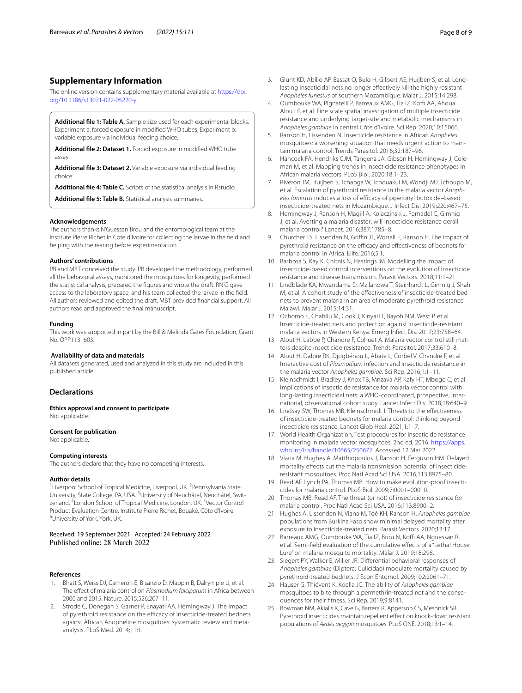## **Supplementary Information**

The online version contains supplementary material available at [https://doi.](https://doi.org/10.1186/s13071-022-05220-y) [org/10.1186/s13071-022-05220-y.](https://doi.org/10.1186/s13071-022-05220-y)

<span id="page-7-18"></span>**Additional fle 1: Table A.** Sample size used for each experimental blocks. Experiment a: forced exposure in modifed WHO tubes; Experiment b: variable exposure via individual feeding choice.

<span id="page-7-20"></span><span id="page-7-19"></span>**Additional fle 2: Dataset 1.** Forced exposure in modifed WHO tube assay.

<span id="page-7-21"></span>**Additional fle 3: Dataset 2.** Variable exposure via individual feeding choice.

**Additional fle 4: Table C.** Scripts of the statistical analysis in Rstudio. **Additional fle 5: Table B.** Statistical analysis summaries.

#### **Acknowledgements**

The authors thanks N'Guessan Brou and the entomological team at the Institute Pierre Richet in Côte d'Ivoire for collecting the larvae in the feld and helping with the rearing before experimentation.

#### **Authors' contributions**

PB and MBT conceived the study. PB developed the methodology, performed all the behavioral assays, monitored the mosquitoes for longevity, performed the statistical analysis, prepared the fgures and wrote the draft. RN'G gave access to the laboratory space, and his team collected the larvae in the feld. All authors reviewed and edited the draft. MBT provided fnancial support. All authors read and approved the fnal manuscript.

### **Funding**

This work was supported in part by the Bill & Melinda Gates Foundation, Grant No. OPP1131603.

#### **Availability of data and materials**

All datasets generated, used and analyzed in this study are included in this published article.

#### **Declarations**

**Ethics approval and consent to participate** Not applicable.

## **Consent for publication**

Not applicable.

#### **Competing interests**

The authors declare that they have no competing interests.

#### **Author details**

<sup>1</sup> Liverpool School of Tropical Medicine, Liverpool, UK. <sup>2</sup> Pennsylvania State University, State College, PA, USA. <sup>3</sup>University of Neuchâtel, Neuchâtel, Switzerland. <sup>4</sup> London School of Tropical Medicine, London, UK. <sup>5</sup> Vector Control Product Evaluation Centre, Institute Pierre Richet, Bouaké, Côte d'Ivoire. 6 University of York, York, UK.

Received: 19 September 2021 Accepted: 24 February 2022 Published online: 28 March 2022

#### **References**

- <span id="page-7-0"></span>1. Bhatt S, Weiss DJ, Cameron E, Bisanzio D, Mappin B, Dalrymple U, et al. The efect of malaria control on *Plasmodium falciparum* in Africa between 2000 and 2015. Nature. 2015;526:207–11.
- <span id="page-7-1"></span>2. Strode C, Donegan S, Garner P, Enayati AA, Hemingway J. The impact of pyrethroid resistance on the efficacy of insecticide-treated bednets against African Anopheline mosquitoes: systematic review and metaanalysis. PLoS Med. 2014;11:1.
- <span id="page-7-2"></span>3. Glunt KD, Abílio AP, Bassat Q, Bulo H, Gilbert AE, Huijben S, et al. Longlasting insecticidal nets no longer efectively kill the highly resistant *Anopheles funestus* of southern Mozambique. Malar J. 2015;14:298.
- <span id="page-7-17"></span>4. Oumbouke WA, Pignatelli P, Barreaux AMG, Tia IZ, Koffi AA, Ahoua Alou LP, et al. Fine scale spatial investigation of multiple insecticide resistance and underlying target-site and metabolic mechanisms in *Anopheles gambiae* in central Côte d'Ivoire. Sci Rep. 2020;10:15066.
- <span id="page-7-23"></span>5. Ranson H, Lissenden N. Insecticide resistance in African *Anopheles* mosquitoes: a worsening situation that needs urgent action to maintain malaria control. Trends Parasitol. 2016;32:187–96.
- 6. Hancock PA, Hendriks CJM, Tangena JA, Gibson H, Hemingway J, Coleman M, et al. Mapping trends in insecticide resistance phenotypes in African malaria vectors. PLoS Biol. 2020;18:1–23.
- <span id="page-7-22"></span><span id="page-7-3"></span>7. Riveron JM, Huijben S, Tchapga W, Tchouakui M, Wondji MJ, Tchoupo M, et al. Escalation of pyrethroid resistance in the malaria vector *Anoph*eles funestus induces a loss of efficacy of piperonyl butoxide-based insecticide-treated nets in Mozambique. J Infect Dis. 2019;220:467–75.
- <span id="page-7-4"></span>8. Hemingway J, Ranson H, Magill A, Kolaczinski J, Fornadel C, Gimnig J, et al. Averting a malaria disaster: will insecticide resistance derail malaria control? Lancet. 2016;387:1785–8.
- <span id="page-7-24"></span>9. Churcher TS, Lissenden N, Griffin JT, Worrall E, Ranson H. The impact of pyrethroid resistance on the efficacy and effectiveness of bednets for malaria control in Africa. Elife. 2016;5:1.
- <span id="page-7-5"></span>10. Barbosa S, Kay K, Chitnis N, Hastings IM. Modelling the impact of insecticide-based control interventions on the evolution of insecticide resistance and disease transmission. Parasit Vectors. 2018;11:1–21.
- <span id="page-7-6"></span>11. Lindblade KA, Mwandama D, Mzilahowa T, Steinhardt L, Gimnig J, Shah M, et al. A cohort study of the efectiveness of insecticide-treated bed nets to prevent malaria in an area of moderate pyrethroid resistance Malawi. Malar J. 2015;14:31.
- 12. Ochomo E, Chahilu M, Cook J, Kinyari T, Bayoh NM, West P, et al. Insecticide-treated nets and protection against insecticide-resistant malaria vectors in Western Kenya. Emerg Infect Dis. 2017;23:758–64.
- 13. Alout H, Labbé P, Chandre F, Cohuet A. Malaria vector control still matters despite insecticide resistance. Trends Parasitol. 2017;33:610–8.
- 14. Alout H, Dabiré RK, Djogbénou L, Abate L, Corbel V, Chandre F, et al. Interactive cost of *Plasmodium* infection and insecticide resistance in the malaria vector *Anopheles gambiae*. Sci Rep. 2016;1:1–11.
- <span id="page-7-7"></span>15. Kleinschmidt I, Bradley J, Knox TB, Mnzava AP, Kafy HT, Mbogo C, et al. Implications of insecticide resistance for malaria vector control with long-lasting insecticidal nets: a WHO-coordinated, prospective, international, observational cohort study. Lancet Infect Dis. 2018;18:640–9.
- <span id="page-7-8"></span>16. Lindsay SW, Thomas MB, Kleinschmidt I. Threats to the efectiveness of insecticide-treated bednets for malaria control: thinking beyond insecticide resistance. Lancet Glob Heal. 2021;1:1–7.
- <span id="page-7-9"></span>17. World Health Organization. Test procedures for insecticide resistance monitoring in malaria vector mosquitoes, 2nd ed. 2016. [https://apps.](https://apps.who.int/iris/handle/10665/250677) [who.int/iris/handle/10665/250677](https://apps.who.int/iris/handle/10665/250677). Accessed 12 Mar 2022.
- <span id="page-7-10"></span>18. Viana M, Hughes A, Matthiopoulos J, Ranson H, Ferguson HM. Delayed mortality efects cut the malaria transmission potential of insecticideresistant mosquitoes. Proc Natl Acad Sci USA. 2016;113:8975–80.
- 19. Read AF, Lynch PA, Thomas MB. How to make evolution-proof insecticides for malaria control. PLoS Biol. 2009;7:0001–00010.
- <span id="page-7-11"></span>20. Thomas MB, Read AF. The threat (or not) of insecticide resistance for malaria control. Proc Natl Acad Sci USA. 2016;113:8900–2.
- <span id="page-7-12"></span>21. Hughes A, Lissenden N, Viana M, Toé KH, Ranson H. *Anopheles gambiae* populations from Burkina Faso show minimal delayed mortality after exposure to insecticide-treated nets. Parasit Vectors. 2020;13:17.
- <span id="page-7-13"></span>22. Barreaux AMG, Oumbouke WA, Tia IZ, Brou N, Koffi AA, Nguessan R, et al. Semi-feld evaluation of the cumulative efects of a "Lethal House Lure" on malaria mosquito mortality. Malar J. 2019;18:298.
- <span id="page-7-14"></span>23. Siegert PY, Walker E, Miller JR. Diferential behavioral responses of *Anopheles gambiae* (Diptera: Culicidae) modulate mortality caused by pyrethroid-treated bednets. J Econ Entomol. 2009;102:2061–71.
- <span id="page-7-15"></span>24. Hauser G, Thiévent K, Koella JC. The ability of *Anopheles gambiae* mosquitoes to bite through a permethrin-treated net and the consequences for their ftness. Sci Rep. 2019;9:8141.
- <span id="page-7-16"></span>25. Bowman NM, Akialis K, Cave G, Barrera R, Apperson CS, Meshnick SR. Pyrethroid insecticides maintain repellent effect on knock-down resistant populations of *Aedes aegypti* mosquitoes. PLoS ONE. 2018;13:1–14.